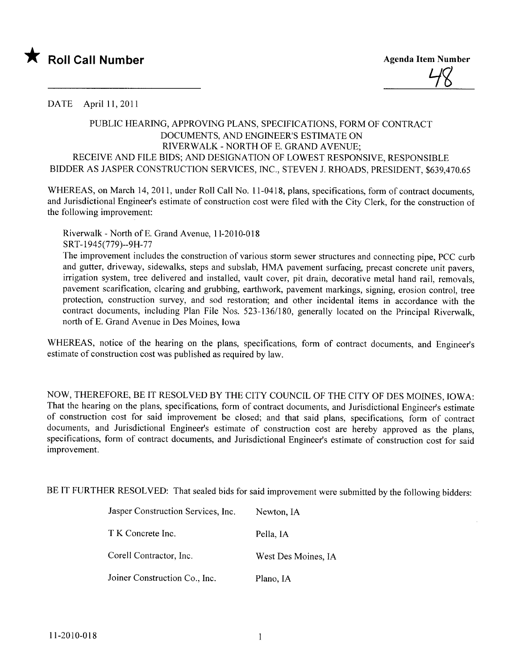

DATE April 11, 2011

## PUBLIC HEARIG, APPROVING PLANS, SPECIFICATIONS, FORM OF CONTRACT DOCUMENTS, AND ENGINEER'S ESTIMATE ON RIVERWALK - NORTH OF E. GRAND AVENUE; RECEIVE AND FILE BIDS; AND DESIGNATION OF LOWEST RESPONSIVE, RESPONSIBLE BIDDER AS JASPER CONSTRUCTION SERVICES, INC., STEVEN J. RHOADS, PRESIDENT, \$639,470.65

WHEREAS, on March 14, 2011, under Roll Call No. 11-0418, plans, specifications, form of contract documents, and Jurisdictional Engineer's estimate of construction cost were fied with the City Clerk, for the construction of the following improvement:

Riverwalk - North of E. Grand Avenue, 11-2010-018 SRT-1945(779)--9H-77

The improvement includes the construction of various storm sewer structures and connecting pipe, PCC curb and gutter, driveway, sidewalks, steps and subslab, HMA pavement surfacing, precast concrete unit pavers, irrigation system, tree delivered and installed, vault cover, pit drain, decorative metal hand rail, removals, pavement scarification, clearing and grubbing, earthwork, pavement markings, signing, erosion control, tree protection, construction survey, and sod restoration; and other incidental items in accordance with the contract documents, including Plan File Nos. 523-136/180, generally located on the Principal Riverwalk, north of E. Grand Avenue in Des Moines, Iowa

WHEREAS, notice of the hearing on the plans, specifications, form of contract documents, and Engineer's estimate of construction cost was published as required by law.

NOW, THEREFORE, BE IT RESOLVED BY THE CITY COUNCIL OF THE CITY OF DES MOINES, IOWA: That the hearing on the plans, specifications, form of contract documents, and Jurisdictional Engineer's estimate of construction cost for said improvement be closed; and that said plans, specifications, form of contract documents, and Jurisdictional Engineer's estimate of construction cost are hereby approved as the plans, specifications, form of contract documents, and Jurisdictional Engineer's estimate of construction cost for said improvement.

BE IT FURTHER RESOLVED: That sealed bids for said improvement were submitted by the following bidders:

| Jasper Construction Services, Inc. | Newton, IA          |
|------------------------------------|---------------------|
| T K Concrete Inc.                  | Pella, IA           |
| Corell Contractor, Inc.            | West Des Moines, IA |
| Joiner Construction Co., Inc.      | Plano, IA           |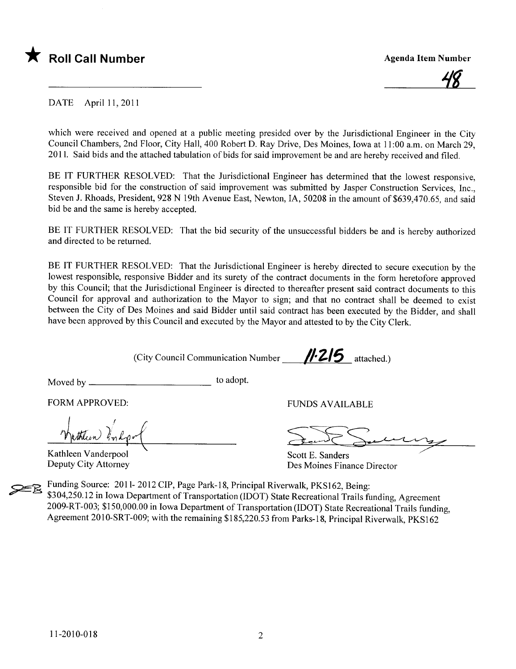



DATE April 11,2011

which were received and opened at a public meeting presided over by the Jurisdictional Engineer in the City Council Chambers, 2nd Floor, City Hall, 400 Robert D. Ray Drive, Des Moines, Iowa at 11 :00 a.m. on March 29, 2011. Said bids and the attached tabulation of bids for said improvement be and are hereby received and fied.

BE IT FURTHER RESOLVED: That the Jurisdictional Engineer has determined that the lowest responsive, responsible bid for the construction of said improvement was submitted by Jasper Construction Services, Inc., Steven J. Rhoads, President, 928 N 19th Avenue East, Newton, lA, 50208 in the amount of \$639,470.65, and said bid be and the same is hereby accepted.

BE IT FURTHER RESOLVED: That the bid security of the unsuccessful bidders be and is hereby authorized and directed to be returned.

BE IT FURTHER RESOLVED: That the Jurisdictional Engineer is hereby directed to secure execution by the lowest responsible, responsive Bidder and its surety of the contract documents in the form heretofore approved by this Council; that the Jurisdictional Engineer is directed to thereafter present said contract documents to this Council for approval and authorization to the Mayor to sign; and that no contract shall be deemed to exist between the City of Des Moines and said Bidder until said contract has been executed by the Bidder, and shall have been approved by this Council and executed by the Mayor and attested to by the City Clerk.

(City Council Communication Number  $\frac{\textit{1:215}}{\text{attached.}}$ )

Moved by to adopt.

FUNDS AVAILABLE<br>
hutther line of the same of the same of the same of the same of the same of the same of the same of the same of the same of the same of the same of the same of the same of the same of the same of the same Wathleen Undpol

Kathleen Vanderpool Deputy City Attorney

Scott E. Sanders Des Moines Finance Director

Funding Source: 2011- 2012 CIP, Page Park-18, Principal Riverwalk, PKS162, Being: \$304,250.12 in Iowa Department of Transportation (IDOT) State Recreational Trails funding, Agreement 2009-RT-003; \$150,000.00 in Iowa Department of Transportation (IDOT) State Recreational Trails funding, Agreement 20lO-SRT-009; with the remaining \$185,220.53 from Parks-18, Principal Riverwalk, PKS162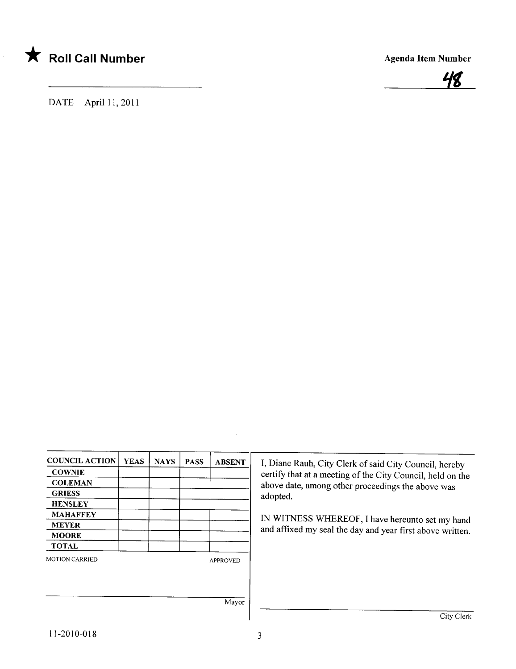



DATE April 11, 2011

| <b>COUNCIL ACTION</b> | <b>YEAS</b> | <b>NAYS</b> | <b>PASS</b> | <b>ABSENT</b>   |
|-----------------------|-------------|-------------|-------------|-----------------|
| <b>COWNIE</b>         |             |             |             |                 |
| <b>COLEMAN</b>        |             |             |             |                 |
| <b>GRIESS</b>         |             |             |             |                 |
| <b>HENSLEY</b>        |             |             |             |                 |
| <b>MAHAFFEY</b>       |             |             |             |                 |
| <b>MEYER</b>          |             |             |             |                 |
| <b>MOORE</b>          |             |             |             |                 |
| <b>TOTAL</b>          |             |             |             |                 |
| <b>MOTION CARRIED</b> |             |             |             | <b>APPROVED</b> |
|                       |             |             |             |                 |
|                       |             |             |             | Mayor           |

City Clerk

I, Diane Rauh, City Clerk of said City Council, hereby certify that at a meeting of the City Council, held on the above date, among other proceedings the above was

IN WITNESS WHEREOF, I have hereunto set my hand and affixed my seal the day and year first above written.

adopted.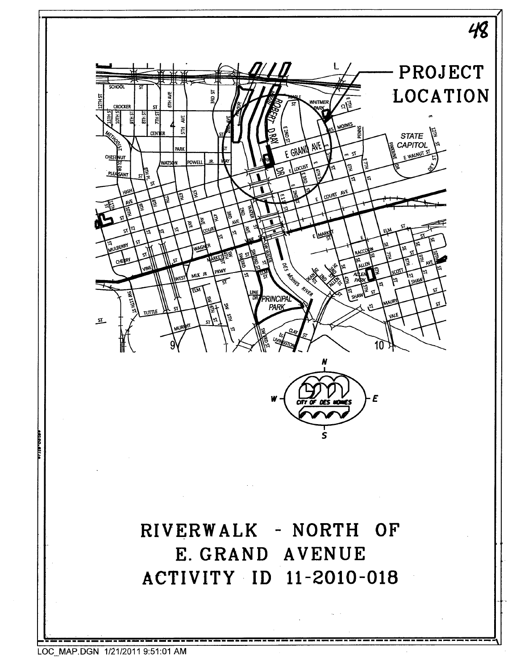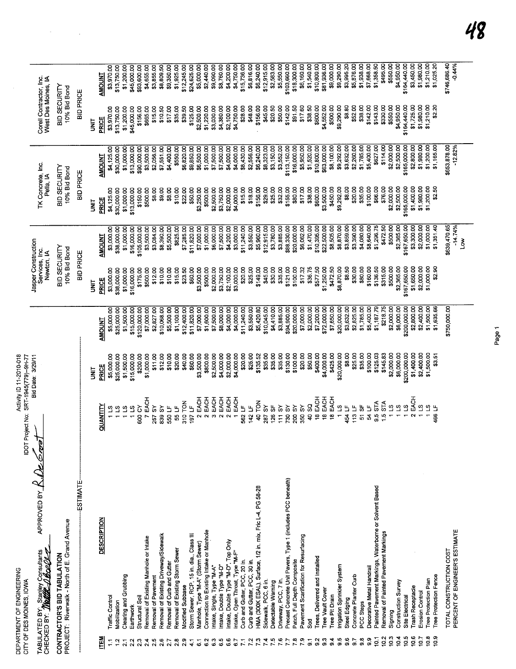$\label{eq:1} \frac{1}{\sqrt{2}}\sum_{i=1}^n\frac{1}{\sqrt{2\pi i}}\sum_{i=1}^n\frac{1}{\sqrt{2\pi i}}\sum_{i=1}^n\frac{1}{\sqrt{2\pi i}}\sum_{i=1}^n\frac{1}{\sqrt{2\pi i}}\sum_{i=1}^n\frac{1}{\sqrt{2\pi i}}\sum_{i=1}^n\frac{1}{\sqrt{2\pi i}}\sum_{i=1}^n\frac{1}{\sqrt{2\pi i}}\sum_{i=1}^n\frac{1}{\sqrt{2\pi i}}\sum_{i=1}^n\frac{1}{\sqrt{2\pi i}}\sum_{i=$ 

Page 1

## 48